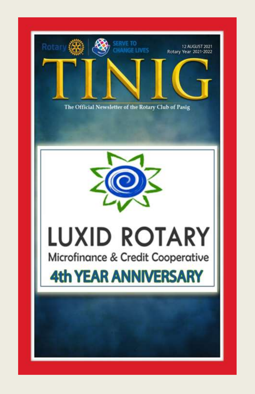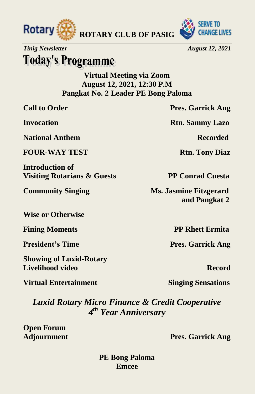



*Tinig Newsletter* August 12, 2021

# **Today's Programme**

**Virtual Meeting via Zoom August 12, 2021, 12:30 P.M Pangkat No. 2 Leader PE Bong Paloma** 

**National Anthem Recorded** 

**FOUR-WAY TEST** Rtn. Tony Diaz

**Introduction of Visiting Rotarians & Guests PP Conrad Cuesta** 

**Wise or Otherwise** 

**Showing of Luxid-Rotary Livelihood video Record** 

**Virtual Entertainment** Singing Sensations

**Call to Order Pres. Garrick Ang** 

**Invocation Rtn. Sammy Lazo** 

**Community Singing Ms. Jasmine Fitzgerard and Pangkat 2** 

**Fining Moments PP Rhett Ermita** 

**President's Time Pres. Garrick Ang** 

*Luxid Rotary Micro Finance & Credit Cooperative 4 th Year Anniversary*

**Open Forum**

**Adjournment Pres. Garrick Ang** 

**PE Bong Paloma Emcee**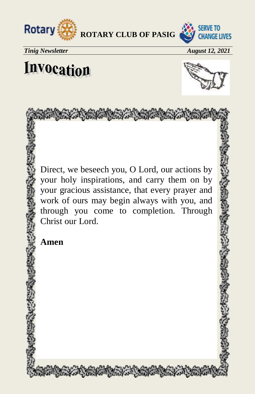



*Tinig Newsletter August 12, 2021* 

# Invocation



Direct, we beseech you, O Lord, our actions by your holy inspirations, and carry them on by your gracious assistance, that every prayer and work of ours may begin always with you, and through you come to completion. Through Christ our Lord.

Stewart Markers Rought

**Amen**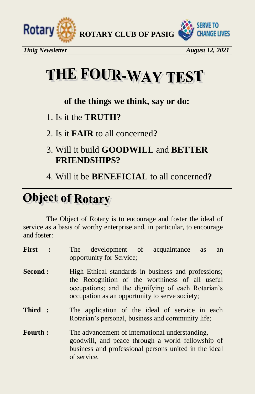

# THE FOUR-WAY TEST

## **of the things we think, say or do:**

- 1. Is it the **TRUTH?**
- 2. Is it **FAIR** to all concerned**?**
- 3. Will it build **GOODWILL** and **BETTER FRIENDSHIPS?**
- 4. Will it be **BENEFICIAL** to all concerned**?**

# **Object of Rotary**

The Object of Rotary is to encourage and foster the ideal of service as a basis of worthy enterprise and, in particular, to encourage and foster:

| First          | development of acquaintance as<br>The<br>an<br>opportunity for Service;                                                                                                                                        |
|----------------|----------------------------------------------------------------------------------------------------------------------------------------------------------------------------------------------------------------|
| Second :       | High Ethical standards in business and professions;<br>the Recognition of the worthiness of all useful<br>occupations; and the dignifying of each Rotarian's<br>occupation as an opportunity to serve society; |
| Third:         | The application of the ideal of service in each<br>Rotarian's personal, business and community life;                                                                                                           |
| <b>Fourth:</b> | The advancement of international understanding,<br>goodwill, and peace through a world fellowship of<br>business and professional persons united in the ideal<br>of service.                                   |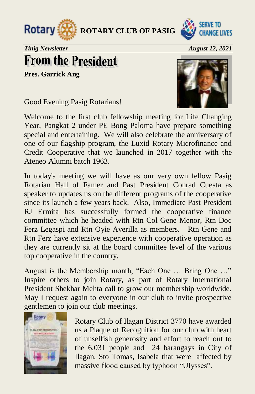



*Tinig Newsletter* August 12, 2021

# **From the President**

**Pres. Garrick Ang**

Good Evening Pasig Rotarians!



Welcome to the first club fellowship meeting for Life Changing Year, Pangkat 2 under PE Bong Paloma have prepare something special and entertaining. We will also celebrate the anniversary of one of our flagship program, the Luxid Rotary Microfinance and Credit Cooperative that we launched in 2017 together with the Ateneo Alumni batch 1963.

In today's meeting we will have as our very own fellow Pasig Rotarian Hall of Famer and Past President Conrad Cuesta as speaker to updates us on the different programs of the cooperative since its launch a few years back. Also, Immediate Past President RJ Ermita has successfully formed the cooperative finance committee which he headed with Rtn Col Gene Menor, Rtn Doc Ferz Legaspi and Rtn Oyie Averilla as members. Rtn Gene and Rtn Ferz have extensive experience with cooperative operation as they are currently sit at the board committee level of the various top cooperative in the country.

August is the Membership month, "Each One … Bring One …" Inspire others to join Rotary, as part of Rotary International President Shekhar Mehta call to grow our membership worldwide. May I request again to everyone in our club to invite prospective gentlemen to join our club meetings.



Rotary Club of Ilagan District 3770 have awarded us a Plaque of Recognition for our club with heart of unselfish generosity and effort to reach out to the 6,031 people and 24 barangays in City of Ilagan, Sto Tomas, Isabela that were affected by massive flood caused by typhoon "Ulysses".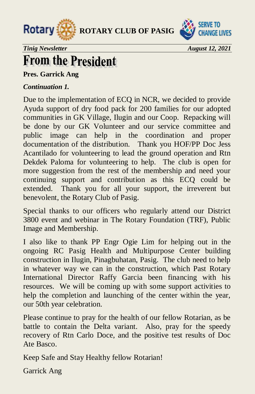



*Tinig Newsletter* August 12, 2021

# **From the President**

**Pres. Garrick Ang**

### *Continuation 1.*

Due to the implementation of ECQ in NCR, we decided to provide Ayuda support of dry food pack for 200 families for our adopted communities in GK Village, Ilugin and our Coop. Repacking will be done by our GK Volunteer and our service committee and public image can help in the coordination and proper documentation of the distribution. Thank you HOF/PP Doc Jess Acantilado for volunteering to lead the ground operation and Rtn Dekdek Paloma for volunteering to help. The club is open for more suggestion from the rest of the membership and need your continuing support and contribution as this ECQ could be extended. Thank you for all your support, the irreverent but benevolent, the Rotary Club of Pasig.

Special thanks to our officers who regularly attend our District 3800 event and webinar in The Rotary Foundation (TRF), Public Image and Membership.

I also like to thank PP Engr Ogie Lim for helping out in the ongoing RC Pasig Health and Multipurpose Center building construction in Ilugin, Pinagbuhatan, Pasig. The club need to help in whatever way we can in the construction, which Past Rotary International Director Raffy Garcia been financing with his resources. We will be coming up with some support activities to help the completion and launching of the center within the year, our 50th year celebration.

Please continue to pray for the health of our fellow Rotarian, as be battle to contain the Delta variant. Also, pray for the speedy recovery of Rtn Carlo Doce, and the positive test results of Doc Ate Basco.

Keep Safe and Stay Healthy fellow Rotarian!

Garrick Ang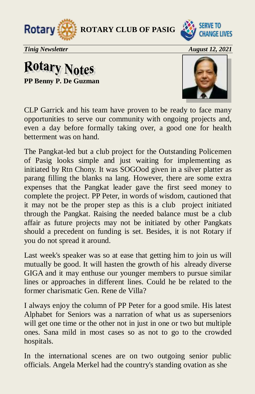



*Tinig Newsletter* August 12, 2021

# **Rotary Notes PP Benny P. De Guzman**



CLP Garrick and his team have proven to be ready to face many opportunities to serve our community with ongoing projects and, even a day before formally taking over, a good one for health betterment was on hand.

The Pangkat-led but a club project for the Outstanding Policemen of Pasig looks simple and just waiting for implementing as initiated by Rtn Chony. It was SOGOod given in a silver platter as parang filling the blanks na lang. However, there are some extra expenses that the Pangkat leader gave the first seed money to complete the project. PP Peter, in words of wisdom, cautioned that it may not be the proper step as this is a club project initiated through the Pangkat. Raising the needed balance must be a club affair as future projects may not be initiated by other Pangkats should a precedent on funding is set. Besides, it is not Rotary if you do not spread it around.

Last week's speaker was so at ease that getting him to join us will mutually be good. It will hasten the growth of his already diverse GIGA and it may enthuse our younger members to pursue similar lines or approaches in different lines. Could he be related to the former charismatic Gen. Rene de Villa?

I always enjoy the column of PP Peter for a good smile. His latest Alphabet for Seniors was a narration of what us as superseniors will get one time or the other not in just in one or two but multiple ones. Sana mild in most cases so as not to go to the crowded hospitals.

In the international scenes are on two outgoing senior public officials. Angela Merkel had the country's standing ovation as she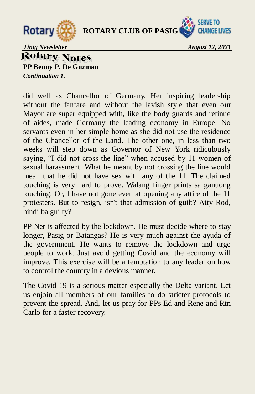



*Tinig Newsletter* August 12, 2021

**Rotary Notes PP Benny P. De Guzman** *Continuation 1.* 

did well as Chancellor of Germany. Her inspiring leadership without the fanfare and without the lavish style that even our Mayor are super equipped with, like the body guards and retinue of aides, made Germany the leading economy in Europe. No servants even in her simple home as she did not use the residence of the Chancellor of the Land. The other one, in less than two weeks will step down as Governor of New York ridiculously saying, "I did not cross the line" when accused by 11 women of sexual harassment. What he meant by not crossing the line would mean that he did not have sex with any of the 11. The claimed touching is very hard to prove. Walang finger prints sa ganuong touching. Or, I have not gone even at opening any attire of the 11 protesters. But to resign, isn't that admission of guilt? Atty Rod, hindi ba guilty?

PP Ner is affected by the lockdown. He must decide where to stay longer, Pasig or Batangas? He is very much against the ayuda of the government. He wants to remove the lockdown and urge people to work. Just avoid getting Covid and the economy will improve. This exercise will be a temptation to any leader on how to control the country in a devious manner.

The Covid 19 is a serious matter especially the Delta variant. Let us enjoin all members of our families to do stricter protocols to prevent the spread. And, let us pray for PPs Ed and Rene and Rtn Carlo for a faster recovery.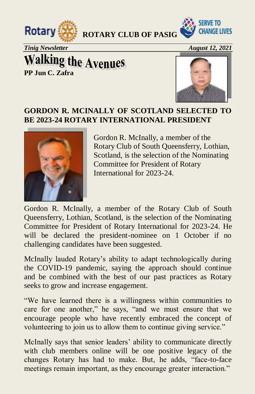



*Tinig Newsletter August 12, 2021*

# **Walking the Avenues PP Jun C. Zafra**



## **GORDON R. MCINALLY OF SCOTLAND SELECTED TO BE 2023-24 ROTARY INTERNATIONAL PRESIDENT**



Gordon R. McInally, a member of the Rotary Club of South Queensferry, Lothian, Scotland, is the selection of the Nominating Committee for President of Rotary International for 2023-24.

Gordon R. McInally, a member of the Rotary Club of South Queensferry, Lothian, Scotland, is the selection of the Nominating Committee for President of Rotary International for 2023-24. He will be declared the president-nominee on 1 October if no challenging candidates have been suggested.

McInally lauded Rotary's ability to adapt technologically during the COVID-19 pandemic, saying the approach should continue and be combined with the best of our past practices as Rotary seeks to grow and increase engagement.

"We have learned there is a willingness within communities to care for one another," he says, "and we must ensure that we encourage people who have recently embraced the concept of volunteering to join us to allow them to continue giving service."

McInally says that senior leaders' ability to communicate directly with club members online will be one positive legacy of the changes Rotary has had to make. But, he adds, "face-to-face meetings remain important, as they encourage greater interaction."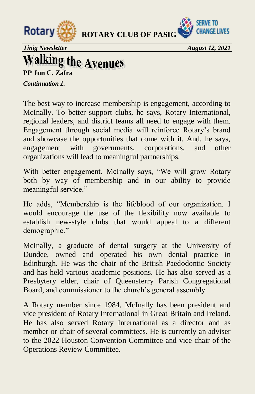



*Tinig Newsletter August 12, 2021* 

# **Walking the Avenues**<br>PP Jun C. Zafra

*Continuation 1.* 

The best way to increase membership is engagement, according to McInally. To better support clubs, he says, Rotary International, regional leaders, and district teams all need to engage with them. Engagement through social media will reinforce Rotary's brand and showcase the opportunities that come with it. And, he says, engagement with governments, corporations, and other organizations will lead to meaningful partnerships.

With better engagement, McInally says, "We will grow Rotary both by way of membership and in our ability to provide meaningful service."

He adds, "Membership is the lifeblood of our organization. I would encourage the use of the flexibility now available to establish new-style clubs that would appeal to a different demographic."

McInally, a graduate of dental surgery at the University of Dundee, owned and operated his own dental practice in Edinburgh. He was the chair of the British Paedodontic Society and has held various academic positions. He has also served as a Presbytery elder, chair of Queensferry Parish Congregational Board, and commissioner to the church's general assembly.

A Rotary member since 1984, McInally has been president and vice president of Rotary International in Great Britain and Ireland. He has also served Rotary International as a director and as member or chair of several committees. He is currently an adviser to the 2022 Houston Convention Committee and vice chair of the Operations Review Committee.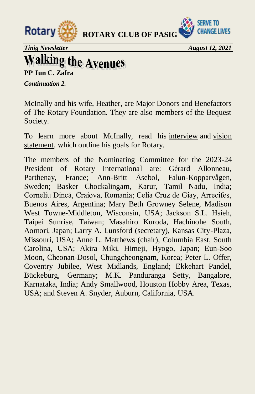



*Tinig Newsletter August 12, 2021* 

# **Walking the Avenues**

**PP Jun C. Zafra**

*Continuation 2.* 

McInally and his wife, Heather, are Major Donors and Benefactors of The Rotary Foundation. They are also members of the Bequest Society.

To learn more about McInally, read his [interview](https://my.rotary.org/en/document/gordon-mcinally-interview) and [vision](https://my.rotary.org/en/document/gordon-mcinally-vision-statement)  [statement,](https://my.rotary.org/en/document/gordon-mcinally-vision-statement) which outline his goals for Rotary.

The members of the Nominating Committee for the 2023-24 President of Rotary International are: Gérard Allonneau, Parthenay, France; Ann-Britt Åsebol, Falun-Kopparvågen, Sweden; Basker Chockalingam, Karur, Tamil Nadu, India; Corneliu Dincă, Craiova, Romania; Celia Cruz de Giay, Arrecifes, Buenos Aires, Argentina; Mary Beth Growney Selene, Madison West Towne-Middleton, Wisconsin, USA; Jackson S.L. Hsieh, Taipei Sunrise, Taiwan; Masahiro Kuroda, Hachinohe South, Aomori, Japan; Larry A. Lunsford (secretary), Kansas City-Plaza, Missouri, USA; Anne L. Matthews (chair), Columbia East, South Carolina, USA; Akira Miki, Himeji, Hyogo, Japan; Eun-Soo Moon, Cheonan-Dosol, Chungcheongnam, Korea; Peter L. Offer, Coventry Jubilee, West Midlands, England; Ekkehart Pandel, Bückeburg, Germany; M.K. Panduranga Setty, Bangalore, Karnataka, India; Andy Smallwood, Houston Hobby Area, Texas, USA; and Steven A. Snyder, Auburn, California, USA.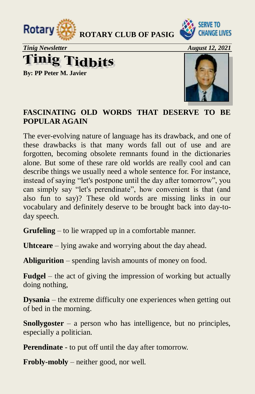



*Tinig Newsletter* August 12, 2021



**By: PP Peter M. Javier** 



## **FASCINATING OLD WORDS THAT DESERVE TO BE POPULAR AGAIN**

The ever-evolving nature of language has its drawback, and one of these drawbacks is that many words fall out of use and are forgotten, becoming obsolete remnants found in the dictionaries alone. But some of these rare old worlds are really cool and can describe things we usually need a whole sentence for. For instance, instead of saying "let's postpone until the day after tomorrow", you can simply say "let's perendinate", how convenient is that (and also fun to say)? These old words are missing links in our vocabulary and definitely deserve to be brought back into day-today speech.

**Grufeling** – to lie wrapped up in a comfortable manner.

**Uhtceare** – lying awake and worrying about the day ahead.

**Abligurition** – spending lavish amounts of money on food.

**Fudgel** – the act of giving the impression of working but actually doing nothing,

**Dysania** – the extreme difficulty one experiences when getting out of bed in the morning.

**Snollygoster** – a person who has intelligence, but no principles, especially a politician.

**Perendinate** - to put off until the day after tomorrow.

**Frobly-mobly** – neither good, nor well.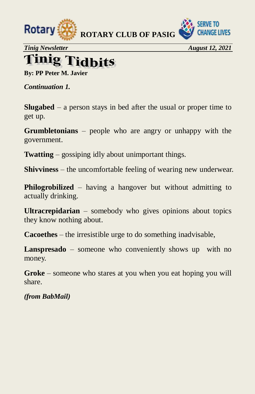



*Tinig Newsletter August 12, 2021*

# **Tinig Tidbits**

**By: PP Peter M. Javier**

*Continuation 1.*

**Slugabed** – a person stays in bed after the usual or proper time to get up.

**Grumbletonians** – people who are angry or unhappy with the government.

**Twatting** – gossiping idly about unimportant things.

**Shivviness** – the uncomfortable feeling of wearing new underwear.

**Philogrobilized** – having a hangover but without admitting to actually drinking.

**Ultracrepidarian** – somebody who gives opinions about topics they know nothing about.

**Cacoethes** – the irresistible urge to do something inadvisable,

**Lanspresado** – someone who conveniently shows up with no money.

**Groke** – someone who stares at you when you eat hoping you will share.

*(from BabMail)*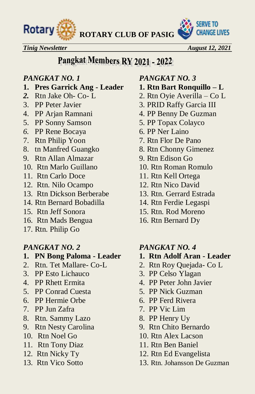



*Tinig Newsletter August 12, 2021* 

# Pangkat Members RY 2021 - 2022

- **1. Pres Garrick Ang Leader 1. Rtn Bart Ronquillo L**
- 
- 
- 
- 5. PP Sonny Samson 5. PP Topax Colayco
- *6.* PP Rene Bocaya 6. PP Ner Laino
- 7. Rtn Philip Yoon 7. Rtn Flor De Pano
- 8. tn Manfred Guangko 8. Rtn Chonny Gimenez
- 9. Rtn Allan Almazar 9. Rtn Edison Go
- 10. Rtn Marlo Guillano 10. Rtn Roman Romulo
- 11. Rtn Carlo Doce 11. Rtn Kell Ortega
- 12. Rtn. Nilo Ocampo 12. Rtn Nico David
- 13. Rtn Dickson Berberabe 13. Rtn. Gerrard Estrada
- 14. Rtn Bernard Bobadilla 14. Rtn Ferdie Legaspi
- 15. Rtn Jeff Sonora 15. Rtn. Rod Moreno
- 16. Rtn Mads Bengua 16. Rtn Bernard Dy
- 17. Rtn. Philip Go

- 1. PN Bong Paloma Leader 1. Rtn Adolf Aran Leader
- 
- 3. PP Esto Lichauco 3. PP Celso Ylagan
- 
- 5. PP Conrad Cuesta 5. PP Nick Guzman
- 6. PP Hermie Orbe 6. PP Ferd Rivera
- 7. PP Jun Zafra 7. PP Vic Lim
- 8. Rtn. Sammy Lazo 8. PP Henry Uy
- 9. Rtn Nesty Carolina 9. Rtn Chito Bernardo
- 
- 11. Rtn Tony Diaz 11. Rtn Ben Baniel
- 
- 

## *PANGKAT NO. 1 PANGKAT NO. 3*

- 
- *2.* Rtn Jake Oh- Co- L 2. Rtn Oyie Averilla Co L
- 3. PP Peter Javier 3. PRID Raffy Garcia III
- 4. PP Arjan Ramnani 4. PP Benny De Guzman
	-
	-
	-
	-
	-
	-
	-
	-
	-
	-
	-
	-

## *PANGKAT NO. 2 PANGKAT NO. 4*

- 
- 2. Rtn. Tet Mallare- Co-L 2. Rtn Roy Quejada- Co L
	-
- 4. PP Rhett Ermita 4. PP Peter John Javier
	-
	-
	-
	-
	-
- 10. Rtn Noel Go 10. Rtn Alex Lacson
	-
- 12. Rtn Nicky Ty 12. Rtn Ed Evangelista
- 13. Rtn Vico Sotto 13. Rtn. Johansson De Guzman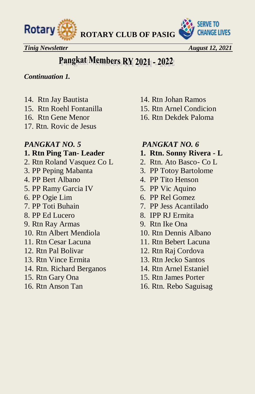



*Tinig Newsletter August 12, 2021*

# Pangkat Members RY 2021 - 2022

### *Continuation 1.*

- 
- 15. Rtn Roehl Fontanilla 15. Rtn Arnel Condicion
- 
- 17. Rtn. Rovic de Jesus

- 2. Rtn Roland Vasquez Co L 2. Rtn. Ato Basco- Co L
- 
- 
- 5. PP Ramy Garcia IV 5. PP Vic Aquino
- 
- 
- 
- 9. Rtn Ray Armas 9. Rtn Ike Ona
- 10. Rtn Albert Mendiola 10. Rtn Dennis Albano
- 
- 
- 13. Rtn Vince Ermita 13. Rtn Jecko Santos
- 14. Rtn. Richard Berganos 14. Rtn Arnel Estaniel
- 
- 
- 14. Rtn Jay Bautista 14. Rtn Johan Ramos
	-
- 16. Rtn Gene Menor 16. Rtn Dekdek Paloma

## *PANGKAT NO. 5 PANGKAT NO. 6*

- **1. Rtn Ping Tan- Leader 1. Rtn. Sonny Rivera - L**
	-
- 3. PP Peping Mabanta 3. PP Totoy Bartolome
- 4. PP Bert Albano 4. PP Tito Henson
	-
- 6. PP Ogie Lim 6. PP Rel Gomez
- 7. PP Toti Buhain 7. PP Jess Acantilado
- 8. PP Ed Lucero 8. IPP RJ Ermita
	-
	-
- 11. Rtn Cesar Lacuna 11. Rtn Bebert Lacuna
- 12. Rtn Pal Bolivar 12. Rtn Raj Cordova
	-
	-
- 15. Rtn Gary Ona 15. Rtn James Porter
- 16. Rtn Anson Tan 16. Rtn. Rebo Saguisag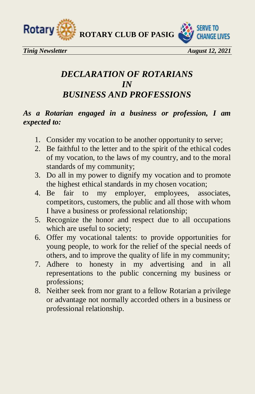



*Tinig Newsletter August 12, 2021* 

## *DECLARATION OF ROTARIANS IN BUSINESS AND PROFESSIONS*

## *As a Rotarian engaged in a business or profession, I am expected to:*

- 1. Consider my vocation to be another opportunity to serve;
- 2. Be faithful to the letter and to the spirit of the ethical codes of my vocation, to the laws of my country, and to the moral standards of my community;
- 3. Do all in my power to dignify my vocation and to promote the highest ethical standards in my chosen vocation;
- 4. Be fair to my employer, employees, associates, competitors, customers, the public and all those with whom I have a business or professional relationship;
- 5. Recognize the honor and respect due to all occupations which are useful to society;
- 6. Offer my vocational talents: to provide opportunities for young people, to work for the relief of the special needs of others, and to improve the quality of life in my community;
- 7. Adhere to honesty in my advertising and in all representations to the public concerning my business or professions;
- 8. Neither seek from nor grant to a fellow Rotarian a privilege or advantage not normally accorded others in a business or professional relationship.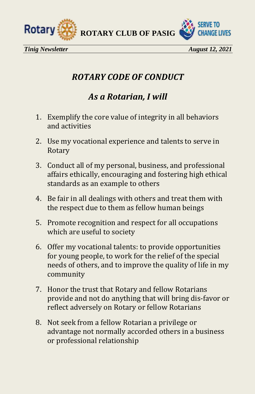



## *ROTARY CODE OF CONDUCT*

## *As a Rotarian, I will*

- 1. Exemplify the core value of integrity in all behaviors and activities
- 2. Use my vocational experience and talents to serve in Rotary
- 3. Conduct all of my personal, business, and professional affairs ethically, encouraging and fostering high ethical standards as an example to others
- 4. Be fair in all dealings with others and treat them with the respect due to them as fellow human beings
- 5. Promote recognition and respect for all occupations which are useful to society
- 6. Offer my vocational talents: to provide opportunities for young people, to work for the relief of the special needs of others, and to improve the quality of life in my community
- 7. Honor the trust that Rotary and fellow Rotarians provide and not do anything that will bring dis-favor or reflect adversely on Rotary or fellow Rotarians
- 8. Not seek from a fellow Rotarian a privilege or advantage not normally accorded others in a business or professional relationship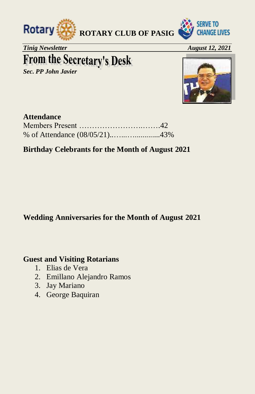



*Tinig Newsletter August 12, 2021* 

# **From the Secretary's Desk**

*Sec. PP John Javier* 



## **Attendance**

## **Birthday Celebrants for the Month of August 2021**

## **Wedding Anniversaries for the Month of August 2021**

### **Guest and Visiting Rotarians**

- 1. Elias de Vera
- 2. Emillano Alejandro Ramos
- 3. Jay Mariano
- 4. George Baquiran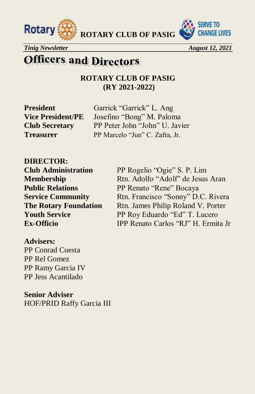



*Tinig Newsletter August 12, 2021* 

# **Officers and Directors**

**ROTARY CLUB OF PASIG (RY 2021-2022)**

**President** Garrick "Garrick" L. Ang **Vice President/PE** Josefino "Bong" M. Paloma **Club Secretary** PP Peter John "John" U. Javier **Treasurer** PP Marcelo "Jun" C. Zafra, Jr.

**DIRECTOR:** 

**Club Administration** PP Rogelio "Ogie" S. P. Lim **Membership** Rtn. Adolfo "Adolf" de Jesus Aran **Public Relations** PP Renato "Rene" Bocaya **Service Community** Rtn. Francisco "Sonny" D.C. Rivera **The Rotary Foundation** Rtn. James Philip Roland V. Porter **Youth Service** PP Roy Eduardo "Ed" T. Lucero **Ex-Officio** IPP Renato Carlos "RJ" H. Ermita Jr

### **Advisers:**

PP Conrad Cuesta PP Rel Gomez PP Ramy Garcia IV PP Jess Acantilado

**Senior Adviser**  HOF/PRID Raffy Garcia III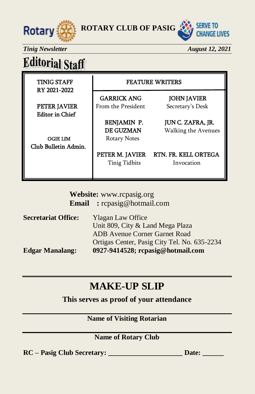



*Tinig Newsletter* August 12, 2021

# **Editorial Staff**

| <b>TINIG STAFF</b><br>RY 2021-2022 | <b>FEATURE WRITERS</b> |                      |  |
|------------------------------------|------------------------|----------------------|--|
|                                    | <b>GARRICK ANG</b>     | <b>JOHN JAVIER</b>   |  |
| PETER JAVIER                       | From the President     | Secretary's Desk     |  |
| <b>Editor</b> in Chief             |                        |                      |  |
|                                    | <b>BENJAMIN P.</b>     | JUN C. ZAFRA, JR.    |  |
|                                    | DE GUZMAN              | Walking the Avenues  |  |
| <b>OGIE LIM</b>                    | <b>Rotary Notes</b>    |                      |  |
| Club Bulletin Admin.               |                        |                      |  |
|                                    | PETER M. JAVIER        | RTN. FR. KELL ORTEGA |  |
|                                    | Tinig Tidbits          | Invocation           |  |
|                                    |                        |                      |  |

**Website:** [www.rcpasig.org](http://www.rcpasig.org/) **Email :** [rcpasig@hotmail.com](mailto:rcpasig@hotmail.com) 

| <b>Secretariat Office:</b> | <b>Ylagan Law Office</b>                     |
|----------------------------|----------------------------------------------|
|                            | Unit 809, City & Land Mega Plaza             |
|                            | <b>ADB</b> Avenue Corner Garnet Road         |
|                            | Ortigas Center, Pasig City Tel. No. 635-2234 |
| <b>Edgar Manalang:</b>     | 0927-9414528; rcpasig@hotmail.com            |

# **MAKE-UP SLIP**

**This serves as proof of your attendance** 

## **Name of Visiting Rotarian**

### **Name of Rotary Club**

**RC – Pasig Club Secretary: \_\_\_\_\_\_\_\_\_\_\_\_\_\_\_\_\_\_\_\_\_ Date: \_\_\_\_\_\_**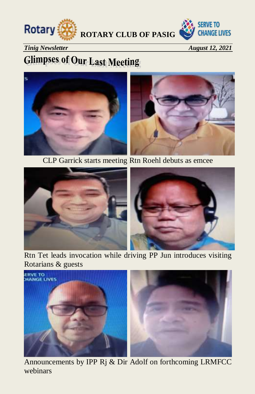



### *Tinig Newsletter August 12, 2021*

# **Glimpses of Our Last Meeting**



CLP Garrick starts meeting Rtn Roehl debuts as emcee



Rtn Tet leads invocation while driving PP Jun introduces visiting Rotarians & guests



Announcements by IPP Rj & Dir Adolf on forthcoming LRMFCC webinars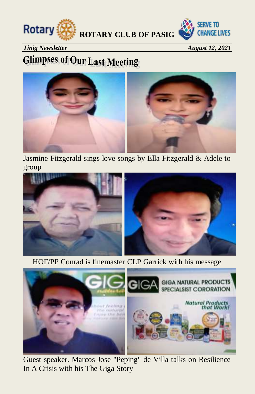



*Tinig Newsletter August 12, 2021* 

# **Glimpses of Our Last Meeting**



Jasmine Fitzgerald sings love songs by Ella Fitzgerald & Adele to group



HOF/PP Conrad is finemaster CLP Garrick with his message



Guest speaker. Marcos Jose "Peping" de Villa talks on Resilience In A Crisis with his The Giga Story